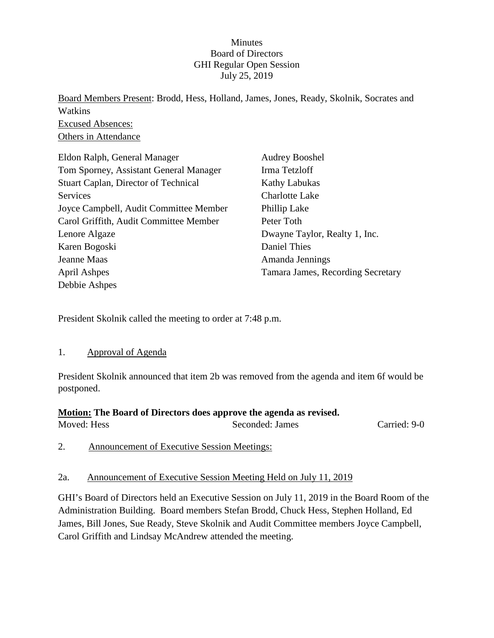### **Minutes** Board of Directors GHI Regular Open Session July 25, 2019

Board Members Present: Brodd, Hess, Holland, James, Jones, Ready, Skolnik, Socrates and Watkins Excused Absences: Others in Attendance

| Eldon Ralph, General Manager           | <b>Audrey Booshel</b>             |
|----------------------------------------|-----------------------------------|
| Tom Sporney, Assistant General Manager | Irma Tetzloff                     |
| Stuart Caplan, Director of Technical   | <b>Kathy Labukas</b>              |
| Services                               | <b>Charlotte Lake</b>             |
| Joyce Campbell, Audit Committee Member | Phillip Lake                      |
| Carol Griffith, Audit Committee Member | Peter Toth                        |
| Lenore Algaze                          | Dwayne Taylor, Realty 1, Inc.     |
| Karen Bogoski                          | Daniel Thies                      |
| Jeanne Maas                            | Amanda Jennings                   |
| April Ashpes                           | Tamara James, Recording Secretary |
| Debbie Ashpes                          |                                   |

President Skolnik called the meeting to order at 7:48 p.m.

#### 1. Approval of Agenda

President Skolnik announced that item 2b was removed from the agenda and item 6f would be postponed.

# **Motion: The Board of Directors does approve the agenda as revised.**

Moved: Hess Seconded: James Carried: 9-0

2. Announcement of Executive Session Meetings:

#### 2a. Announcement of Executive Session Meeting Held on July 11, 2019

GHI's Board of Directors held an Executive Session on July 11, 2019 in the Board Room of the Administration Building. Board members Stefan Brodd, Chuck Hess, Stephen Holland, Ed James, Bill Jones, Sue Ready, Steve Skolnik and Audit Committee members Joyce Campbell, Carol Griffith and Lindsay McAndrew attended the meeting.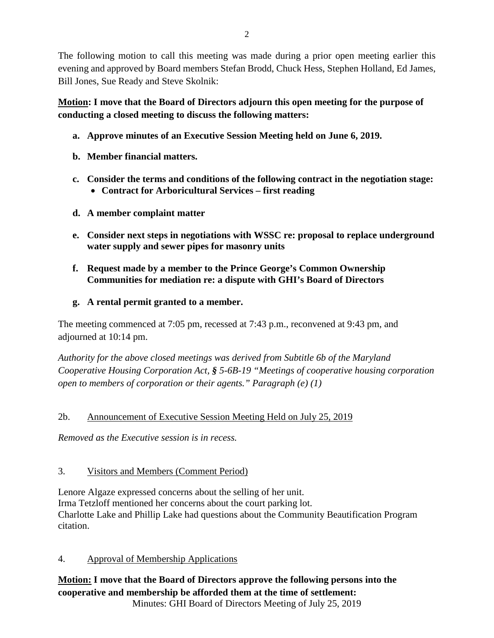The following motion to call this meeting was made during a prior open meeting earlier this evening and approved by Board members Stefan Brodd, Chuck Hess, Stephen Holland, Ed James, Bill Jones, Sue Ready and Steve Skolnik:

**Motion: I move that the Board of Directors adjourn this open meeting for the purpose of conducting a closed meeting to discuss the following matters:**

- **a. Approve minutes of an Executive Session Meeting held on June 6, 2019.**
- **b. Member financial matters.**
- **c. Consider the terms and conditions of the following contract in the negotiation stage:**
	- **Contract for Arboricultural Services – first reading**
- **d. A member complaint matter**
- **e. Consider next steps in negotiations with WSSC re: proposal to replace underground water supply and sewer pipes for masonry units**
- **f. Request made by a member to the Prince George's Common Ownership Communities for mediation re: a dispute with GHI's Board of Directors**
- **g. A rental permit granted to a member.**

The meeting commenced at 7:05 pm, recessed at 7:43 p.m., reconvened at 9:43 pm, and adjourned at 10:14 pm.

*Authority for the above closed meetings was derived from Subtitle 6b of the Maryland Cooperative Housing Corporation Act, § 5-6B-19 "Meetings of cooperative housing corporation open to members of corporation or their agents." Paragraph (e) (1)*

# 2b. Announcement of Executive Session Meeting Held on July 25, 2019

*Removed as the Executive session is in recess.*

# 3. Visitors and Members (Comment Period)

Lenore Algaze expressed concerns about the selling of her unit. Irma Tetzloff mentioned her concerns about the court parking lot. Charlotte Lake and Phillip Lake had questions about the Community Beautification Program citation.

- 4. Approval of Membership Applications
- **Motion: I move that the Board of Directors approve the following persons into the cooperative and membership be afforded them at the time of settlement:**

Minutes: GHI Board of Directors Meeting of July 25, 2019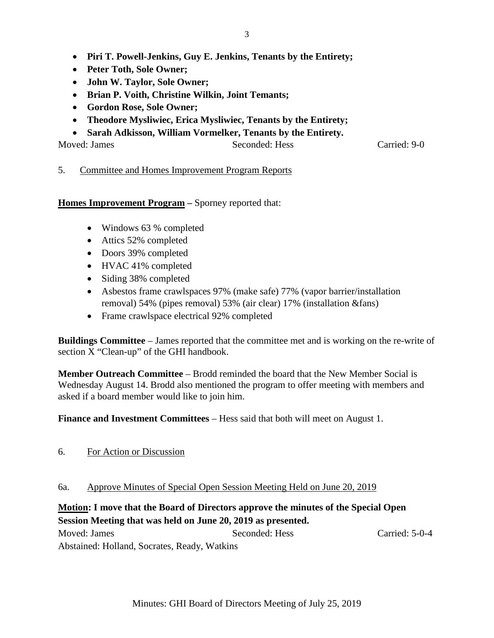- **Piri T. Powell-Jenkins, Guy E. Jenkins, Tenants by the Entirety;**
- **Peter Toth, Sole Owner;**
- **John W. Taylor, Sole Owner;**
- **Brian P. Voith, Christine Wilkin, Joint Temants;**
- **Gordon Rose, Sole Owner;**
- **Theodore Mysliwiec, Erica Mysliwiec, Tenants by the Entirety;**
- **Sarah Adkisson, William Vormelker, Tenants by the Entirety.**

Moved: James Seconded: Hess Carried: 9-0

### 5. Committee and Homes Improvement Program Reports

**Homes Improvement Program –** Sporney reported that:

- Windows 63 % completed
- Attics 52% completed
- Doors 39% completed
- HVAC 41% completed
- Siding 38% completed
- Asbestos frame crawlspaces 97% (make safe) 77% (vapor barrier/installation removal) 54% (pipes removal) 53% (air clear) 17% (installation &fans)
- Frame crawlspace electrical 92% completed

**Buildings Committee** – James reported that the committee met and is working on the re-write of section X "Clean-up" of the GHI handbook.

**Member Outreach Committee** – Brodd reminded the board that the New Member Social is Wednesday August 14. Brodd also mentioned the program to offer meeting with members and asked if a board member would like to join him.

**Finance and Investment Committees** – Hess said that both will meet on August 1.

6. For Action or Discussion

#### 6a. Approve Minutes of Special Open Session Meeting Held on June 20, 2019

# **Motion: I move that the Board of Directors approve the minutes of the Special Open Session Meeting that was held on June 20, 2019 as presented.**

Moved: James Seconded: Hess Carried: 5-0-4 Abstained: Holland, Socrates, Ready, Watkins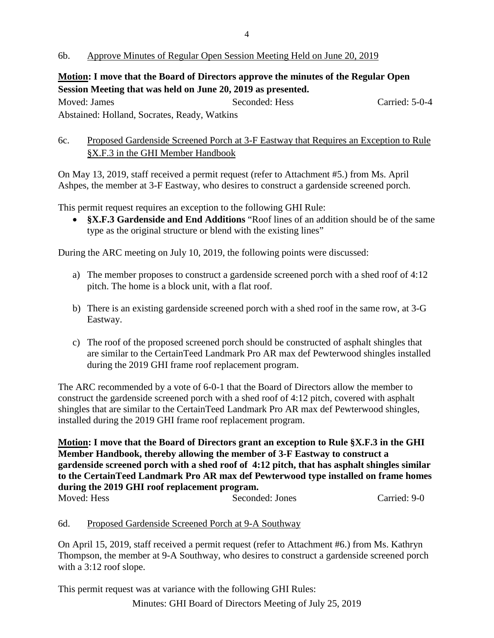**Motion: I move that the Board of Directors approve the minutes of the Regular Open Session Meeting that was held on June 20, 2019 as presented.**

Moved: James Seconded: Hess Carried: 5-0-4 Abstained: Holland, Socrates, Ready, Watkins

# 6c. Proposed Gardenside Screened Porch at 3-F Eastway that Requires an Exception to Rule §X.F.3 in the GHI Member Handbook

On May 13, 2019, staff received a permit request (refer to Attachment #5.) from Ms. April Ashpes, the member at 3-F Eastway, who desires to construct a gardenside screened porch.

This permit request requires an exception to the following GHI Rule:

• **§X.F.3 Gardenside and End Additions** "Roof lines of an addition should be of the same type as the original structure or blend with the existing lines"

During the ARC meeting on July 10, 2019, the following points were discussed:

- a) The member proposes to construct a gardenside screened porch with a shed roof of 4:12 pitch. The home is a block unit, with a flat roof.
- b) There is an existing gardenside screened porch with a shed roof in the same row, at 3-G Eastway.
- c) The roof of the proposed screened porch should be constructed of asphalt shingles that are similar to the CertainTeed Landmark Pro AR max def Pewterwood shingles installed during the 2019 GHI frame roof replacement program.

The ARC recommended by a vote of 6-0-1 that the Board of Directors allow the member to construct the gardenside screened porch with a shed roof of 4:12 pitch, covered with asphalt shingles that are similar to the CertainTeed Landmark Pro AR max def Pewterwood shingles, installed during the 2019 GHI frame roof replacement program.

**Motion: I move that the Board of Directors grant an exception to Rule §X.F.3 in the GHI Member Handbook, thereby allowing the member of 3-F Eastway to construct a gardenside screened porch with a shed roof of 4:12 pitch, that has asphalt shingles similar to the CertainTeed Landmark Pro AR max def Pewterwood type installed on frame homes during the 2019 GHI roof replacement program.**

Moved: Hess Seconded: Jones Carried: 9-0

### 6d. Proposed Gardenside Screened Porch at 9-A Southway

On April 15, 2019, staff received a permit request (refer to Attachment #6.) from Ms. Kathryn Thompson, the member at 9-A Southway, who desires to construct a gardenside screened porch with a 3:12 roof slope.

This permit request was at variance with the following GHI Rules:

Minutes: GHI Board of Directors Meeting of July 25, 2019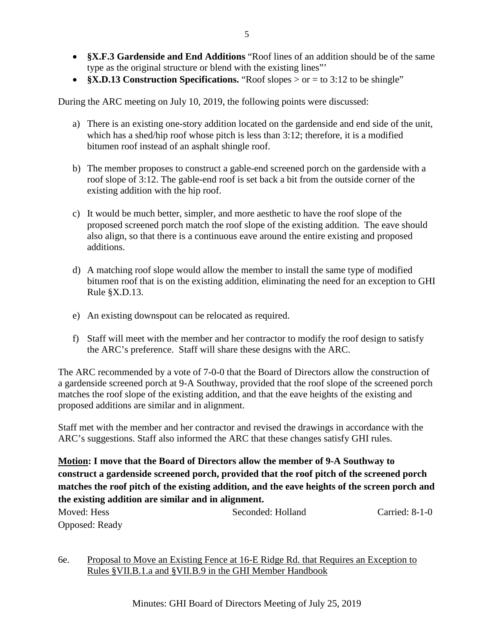• **§X.F.3 Gardenside and End Additions** "Roof lines of an addition should be of the same type as the original structure or blend with the existing lines"'

5

• **§X.D.13 Construction Specifications.** "Roof slopes > or = to 3:12 to be shingle"

During the ARC meeting on July 10, 2019, the following points were discussed:

- a) There is an existing one-story addition located on the gardenside and end side of the unit, which has a shed/hip roof whose pitch is less than 3:12; therefore, it is a modified bitumen roof instead of an asphalt shingle roof.
- b) The member proposes to construct a gable-end screened porch on the gardenside with a roof slope of 3:12. The gable-end roof is set back a bit from the outside corner of the existing addition with the hip roof.
- c) It would be much better, simpler, and more aesthetic to have the roof slope of the proposed screened porch match the roof slope of the existing addition. The eave should also align, so that there is a continuous eave around the entire existing and proposed additions.
- d) A matching roof slope would allow the member to install the same type of modified bitumen roof that is on the existing addition, eliminating the need for an exception to GHI Rule §X.D.13.
- e) An existing downspout can be relocated as required.
- f) Staff will meet with the member and her contractor to modify the roof design to satisfy the ARC's preference. Staff will share these designs with the ARC.

The ARC recommended by a vote of 7-0-0 that the Board of Directors allow the construction of a gardenside screened porch at 9-A Southway, provided that the roof slope of the screened porch matches the roof slope of the existing addition, and that the eave heights of the existing and proposed additions are similar and in alignment.

Staff met with the member and her contractor and revised the drawings in accordance with the ARC's suggestions. Staff also informed the ARC that these changes satisfy GHI rules.

**Motion: I move that the Board of Directors allow the member of 9-A Southway to construct a gardenside screened porch, provided that the roof pitch of the screened porch matches the roof pitch of the existing addition, and the eave heights of the screen porch and the existing addition are similar and in alignment.**

| Moved: Hess           | Seconded: Holland | Carried: $8-1-0$ |
|-----------------------|-------------------|------------------|
| <b>Opposed:</b> Ready |                   |                  |

6e. Proposal to Move an Existing Fence at 16-E Ridge Rd. that Requires an Exception to Rules §VII.B.1.a and §VII.B.9 in the GHI Member Handbook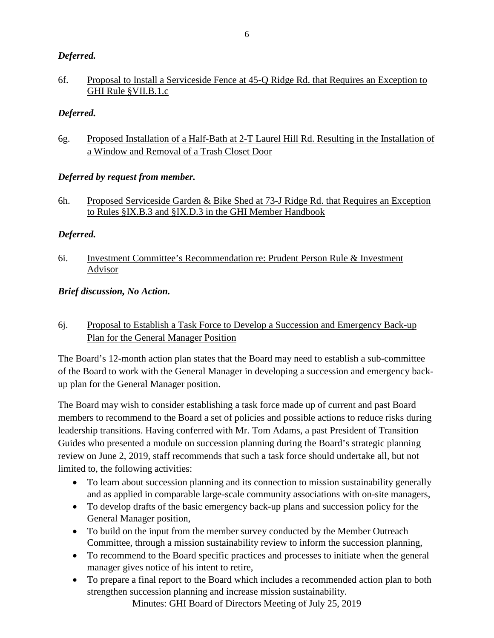# *Deferred.*

## 6f. Proposal to Install a Serviceside Fence at 45-Q Ridge Rd. that Requires an Exception to GHI Rule §VII.B.1.c

# *Deferred.*

6g. Proposed Installation of a Half-Bath at 2-T Laurel Hill Rd. Resulting in the Installation of a Window and Removal of a Trash Closet Door

### *Deferred by request from member.*

6h. Proposed Serviceside Garden & Bike Shed at 73-J Ridge Rd. that Requires an Exception to Rules §IX.B.3 and §IX.D.3 in the GHI Member Handbook

# *Deferred.*

6i. Investment Committee's Recommendation re: Prudent Person Rule & Investment Advisor

### *Brief discussion, No Action.*

# 6j. Proposal to Establish a Task Force to Develop a Succession and Emergency Back-up Plan for the General Manager Position

The Board's 12-month action plan states that the Board may need to establish a sub-committee of the Board to work with the General Manager in developing a succession and emergency backup plan for the General Manager position.

The Board may wish to consider establishing a task force made up of current and past Board members to recommend to the Board a set of policies and possible actions to reduce risks during leadership transitions. Having conferred with Mr. Tom Adams, a past President of Transition Guides who presented a module on succession planning during the Board's strategic planning review on June 2, 2019, staff recommends that such a task force should undertake all, but not limited to, the following activities:

- To learn about succession planning and its connection to mission sustainability generally and as applied in comparable large-scale community associations with on-site managers,
- To develop drafts of the basic emergency back-up plans and succession policy for the General Manager position,
- To build on the input from the member survey conducted by the Member Outreach Committee, through a mission sustainability review to inform the succession planning,
- To recommend to the Board specific practices and processes to initiate when the general manager gives notice of his intent to retire,
- To prepare a final report to the Board which includes a recommended action plan to both strengthen succession planning and increase mission sustainability.

Minutes: GHI Board of Directors Meeting of July 25, 2019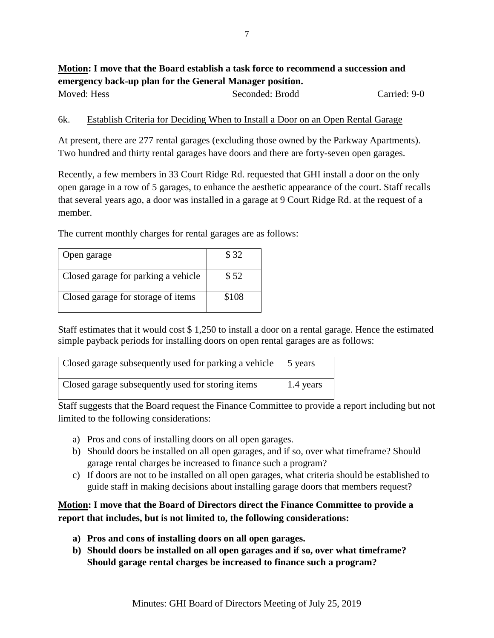# **Motion: I move that the Board establish a task force to recommend a succession and emergency back-up plan for the General Manager position.** Moved: Hess Seconded: Brodd Carried: 9-0

#### 6k. Establish Criteria for Deciding When to Install a Door on an Open Rental Garage

At present, there are 277 rental garages (excluding those owned by the Parkway Apartments). Two hundred and thirty rental garages have doors and there are forty-seven open garages.

Recently, a few members in 33 Court Ridge Rd. requested that GHI install a door on the only open garage in a row of 5 garages, to enhance the aesthetic appearance of the court. Staff recalls that several years ago, a door was installed in a garage at 9 Court Ridge Rd. at the request of a member.

The current monthly charges for rental garages are as follows:

| Open garage                         | \$32  |
|-------------------------------------|-------|
| Closed garage for parking a vehicle | \$52  |
| Closed garage for storage of items  | \$108 |

Staff estimates that it would cost \$ 1,250 to install a door on a rental garage. Hence the estimated simple payback periods for installing doors on open rental garages are as follows:

| Closed garage subsequently used for parking a vehicle | 1.5 years         |
|-------------------------------------------------------|-------------------|
| Closed garage subsequently used for storing items     | $\vert$ 1.4 years |

Staff suggests that the Board request the Finance Committee to provide a report including but not limited to the following considerations:

- a) Pros and cons of installing doors on all open garages.
- b) Should doors be installed on all open garages, and if so, over what timeframe? Should garage rental charges be increased to finance such a program?
- c) If doors are not to be installed on all open garages, what criteria should be established to guide staff in making decisions about installing garage doors that members request?

# **Motion: I move that the Board of Directors direct the Finance Committee to provide a report that includes, but is not limited to, the following considerations:**

- **a) Pros and cons of installing doors on all open garages.**
- **b) Should doors be installed on all open garages and if so, over what timeframe? Should garage rental charges be increased to finance such a program?**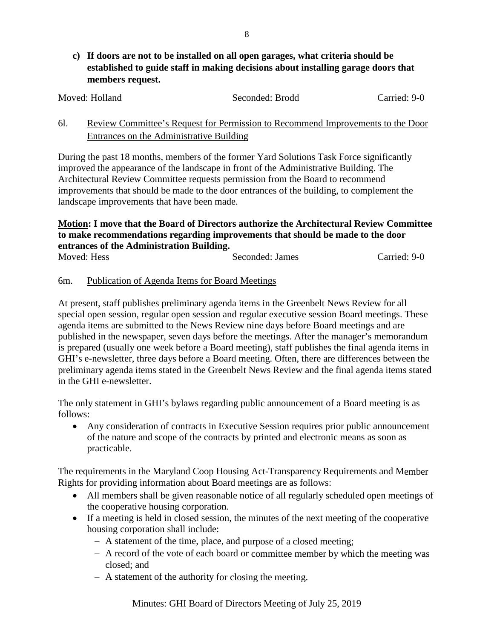**c) If doors are not to be installed on all open garages, what criteria should be established to guide staff in making decisions about installing garage doors that members request.**

| Moved: Holland | Seconded: Brodd | Carried: 9-0 |
|----------------|-----------------|--------------|
|                |                 |              |

# 6l. Review Committee's Request for Permission to Recommend Improvements to the Door Entrances on the Administrative Building

During the past 18 months, members of the former Yard Solutions Task Force significantly improved the appearance of the landscape in front of the Administrative Building. The Architectural Review Committee requests permission from the Board to recommend improvements that should be made to the door entrances of the building, to complement the landscape improvements that have been made.

### **Motion: I move that the Board of Directors authorize the Architectural Review Committee to make recommendations regarding improvements that should be made to the door entrances of the Administration Building.**

| Moved: Hess | Seconded: James | Carried: 9-0 |
|-------------|-----------------|--------------|

# 6m. Publication of Agenda Items for Board Meetings

At present, staff publishes preliminary agenda items in the Greenbelt News Review for all special open session, regular open session and regular executive session Board meetings. These agenda items are submitted to the News Review nine days before Board meetings and are published in the newspaper, seven days before the meetings. After the manager's memorandum is prepared (usually one week before a Board meeting), staff publishes the final agenda items in GHI's e-newsletter, three days before a Board meeting. Often, there are differences between the preliminary agenda items stated in the Greenbelt News Review and the final agenda items stated in the GHI e-newsletter.

The only statement in GHI's bylaws regarding public announcement of a Board meeting is as follows:

• Any consideration of contracts in Executive Session requires prior public announcement of the nature and scope of the contracts by printed and electronic means as soon as practicable.

The requirements in the Maryland Coop Housing Act-Transparency Requirements and Member Rights for providing information about Board meetings are as follows:

- All members shall be given reasonable notice of all regularly scheduled open meetings of the cooperative housing corporation.
- If a meeting is held in closed session, the minutes of the next meeting of the cooperative housing corporation shall include:
	- − A statement of the time, place, and purpose of a closed meeting;
	- − A record of the vote of each board or committee member by which the meeting was closed; and
	- − A statement of the authority for closing the meeting.